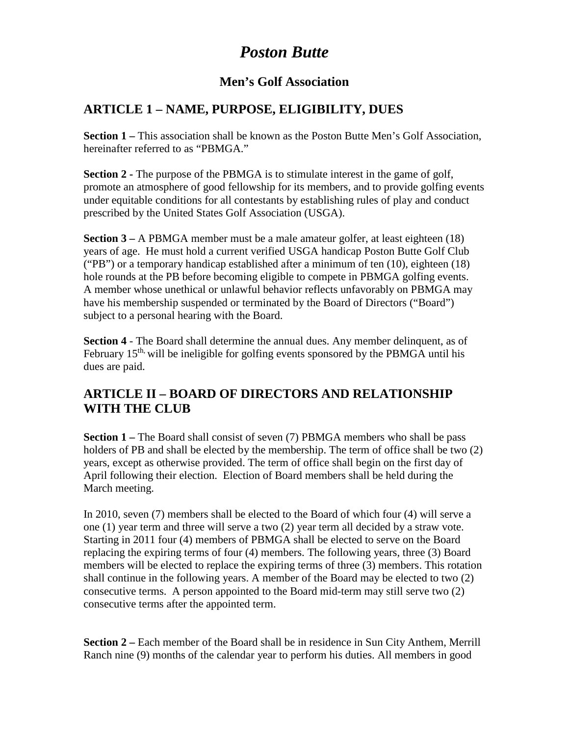# *Poston Butte*

#### **Men's Golf Association**

## **ARTICLE 1 – NAME, PURPOSE, ELIGIBILITY, DUES**

**Section 1 –** This association shall be known as the Poston Butte Men's Golf Association, hereinafter referred to as "PBMGA."

**Section 2 -** The purpose of the PBMGA is to stimulate interest in the game of golf, promote an atmosphere of good fellowship for its members, and to provide golfing events under equitable conditions for all contestants by establishing rules of play and conduct prescribed by the United States Golf Association (USGA).

**Section 3 –** A PBMGA member must be a male amateur golfer, at least eighteen (18) years of age. He must hold a current verified USGA handicap Poston Butte Golf Club ("PB") or a temporary handicap established after a minimum of ten (10), eighteen (18) hole rounds at the PB before becoming eligible to compete in PBMGA golfing events. A member whose unethical or unlawful behavior reflects unfavorably on PBMGA may have his membership suspended or terminated by the Board of Directors ("Board") subject to a personal hearing with the Board.

**Section 4** - The Board shall determine the annual dues. Any member delinquent, as of February  $15<sup>th</sup>$ , will be ineligible for golfing events sponsored by the PBMGA until his dues are paid.

### **ARTICLE II – BOARD OF DIRECTORS AND RELATIONSHIP WITH THE CLUB**

**Section 1 –** The Board shall consist of seven (7) PBMGA members who shall be pass holders of PB and shall be elected by the membership. The term of office shall be two (2) years, except as otherwise provided. The term of office shall begin on the first day of April following their election. Election of Board members shall be held during the March meeting.

In 2010, seven (7) members shall be elected to the Board of which four (4) will serve a one (1) year term and three will serve a two (2) year term all decided by a straw vote. Starting in 2011 four (4) members of PBMGA shall be elected to serve on the Board replacing the expiring terms of four (4) members. The following years, three (3) Board members will be elected to replace the expiring terms of three (3) members. This rotation shall continue in the following years. A member of the Board may be elected to two (2) consecutive terms. A person appointed to the Board mid-term may still serve two (2) consecutive terms after the appointed term.

**Section 2 –** Each member of the Board shall be in residence in Sun City Anthem, Merrill Ranch nine (9) months of the calendar year to perform his duties. All members in good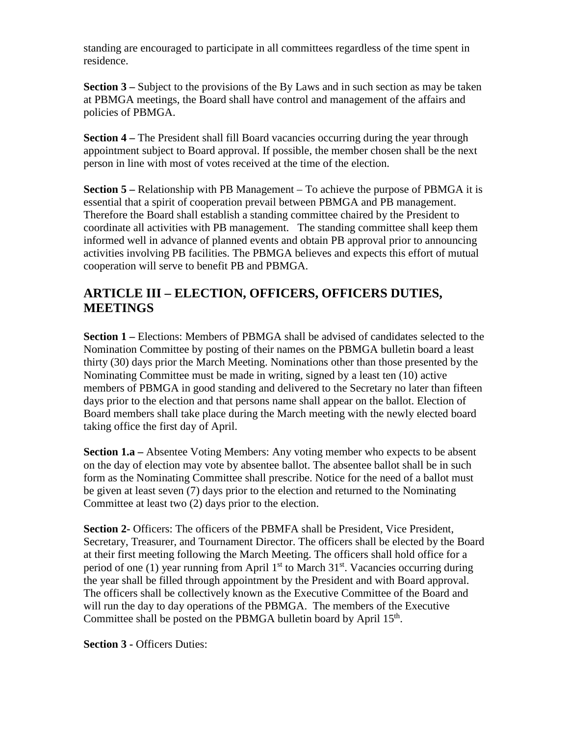standing are encouraged to participate in all committees regardless of the time spent in residence.

**Section 3 –** Subject to the provisions of the By Laws and in such section as may be taken at PBMGA meetings, the Board shall have control and management of the affairs and policies of PBMGA.

**Section 4 –** The President shall fill Board vacancies occurring during the year through appointment subject to Board approval. If possible, the member chosen shall be the next person in line with most of votes received at the time of the election.

**Section 5 –** Relationship with PB Management – To achieve the purpose of PBMGA it is essential that a spirit of cooperation prevail between PBMGA and PB management. Therefore the Board shall establish a standing committee chaired by the President to coordinate all activities with PB management. The standing committee shall keep them informed well in advance of planned events and obtain PB approval prior to announcing activities involving PB facilities. The PBMGA believes and expects this effort of mutual cooperation will serve to benefit PB and PBMGA.

## **ARTICLE III – ELECTION, OFFICERS, OFFICERS DUTIES, MEETINGS**

**Section 1 –** Elections: Members of PBMGA shall be advised of candidates selected to the Nomination Committee by posting of their names on the PBMGA bulletin board a least thirty (30) days prior the March Meeting. Nominations other than those presented by the Nominating Committee must be made in writing, signed by a least ten (10) active members of PBMGA in good standing and delivered to the Secretary no later than fifteen days prior to the election and that persons name shall appear on the ballot. Election of Board members shall take place during the March meeting with the newly elected board taking office the first day of April.

**Section 1.a –** Absentee Voting Members: Any voting member who expects to be absent on the day of election may vote by absentee ballot. The absentee ballot shall be in such form as the Nominating Committee shall prescribe. Notice for the need of a ballot must be given at least seven (7) days prior to the election and returned to the Nominating Committee at least two (2) days prior to the election.

**Section 2-** Officers: The officers of the PBMFA shall be President, Vice President, Secretary, Treasurer, and Tournament Director. The officers shall be elected by the Board at their first meeting following the March Meeting. The officers shall hold office for a period of one (1) year running from April  $1<sup>st</sup>$  to March  $31<sup>st</sup>$ . Vacancies occurring during the year shall be filled through appointment by the President and with Board approval. The officers shall be collectively known as the Executive Committee of the Board and will run the day to day operations of the PBMGA. The members of the Executive Committee shall be posted on the PBMGA bulletin board by April 15<sup>th</sup>.

**Section 3 -** Officers Duties: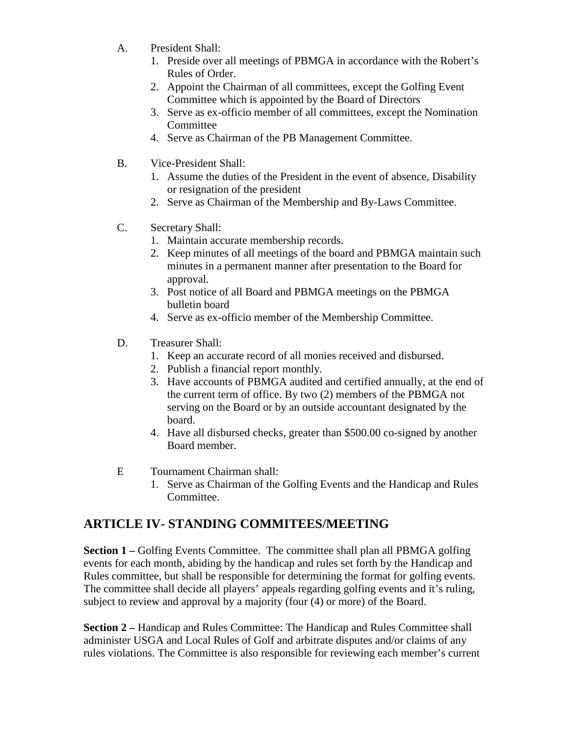- A. President Shall:
	- 1. Preside over all meetings of PBMGA in accordance with the Robert's Rules of Order.
	- 2. Appoint the Chairman of all committees, except the Golfing Event Committee which is appointed by the Board of Directors
	- 3. Serve as ex-officio member of all committees, except the Nomination **Committee**
	- 4. Serve as Chairman of the PB Management Committee.
- B. Vice-President Shall:
	- 1. Assume the duties of the President in the event of absence, Disability or resignation of the president
	- 2. Serve as Chairman of the Membership and By-Laws Committee.
- C. Secretary Shall:
	- 1. Maintain accurate membership records.
	- 2. Keep minutes of all meetings of the board and PBMGA maintain such minutes in a permanent manner after presentation to the Board for approval.
	- 3. Post notice of all Board and PBMGA meetings on the PBMGA bulletin board
	- 4. Serve as ex-officio member of the Membership Committee.
- D. Treasurer Shall:
	- 1. Keep an accurate record of all monies received and disbursed.
	- 2. Publish a financial report monthly.
	- 3. Have accounts of PBMGA audited and certified annually, at the end of the current term of office. By two (2) members of the PBMGA not serving on the Board or by an outside accountant designated by the board.
	- 4. Have all disbursed checks, greater than \$500.00 co-signed by another Board member.
- E Tournament Chairman shall:
	- 1. Serve as Chairman of the Golfing Events and the Handicap and Rules Committee.

#### **ARTICLE IV- STANDING COMMITEES/MEETING**

**Section 1** – Golfing Events Committee. The committee shall plan all PBMGA golfing events for each month, abiding by the handicap and rules set forth by the Handicap and Rules committee, but shall be responsible for determining the format for golfing events. The committee shall decide all players' appeals regarding golfing events and it's ruling, subject to review and approval by a majority (four (4) or more) of the Board.

**Section 2 –** Handicap and Rules Committee: The Handicap and Rules Committee shall administer USGA and Local Rules of Golf and arbitrate disputes and/or claims of any rules violations. The Committee is also responsible for reviewing each member's current